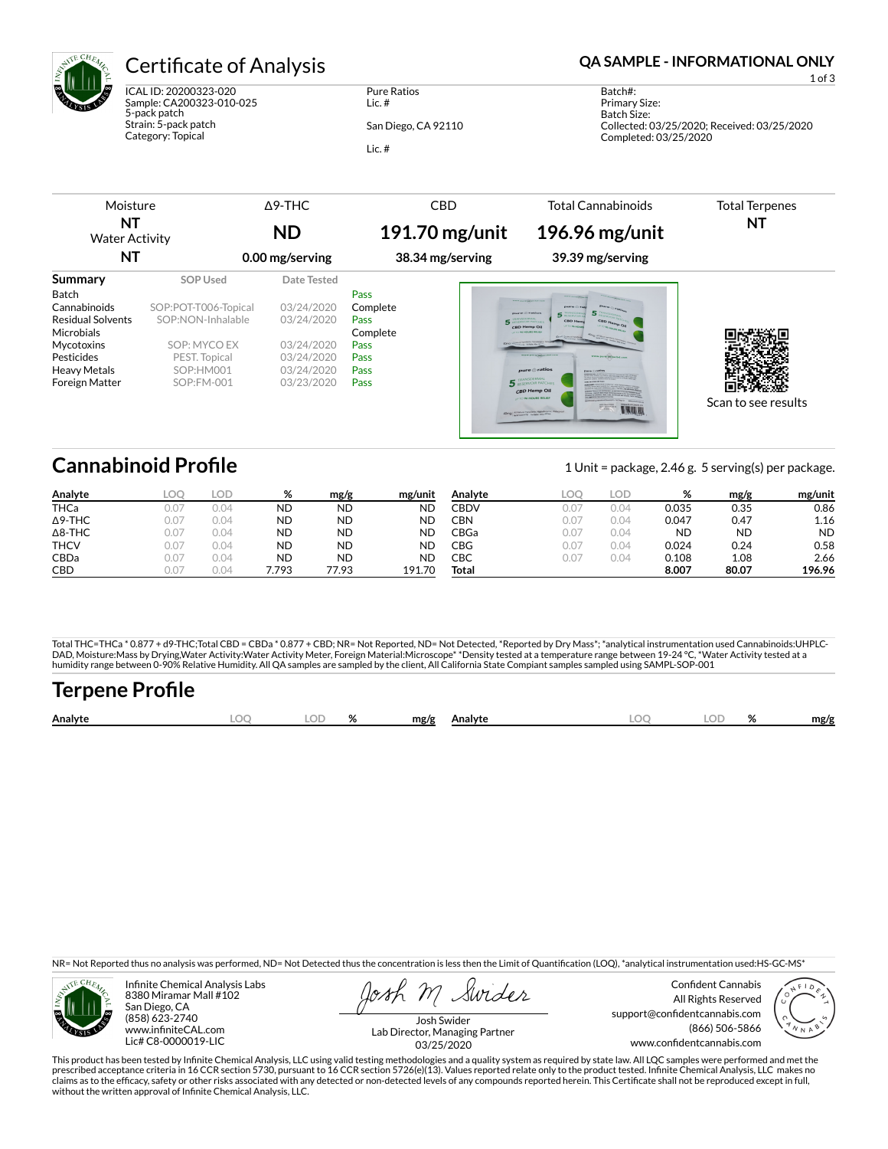

ICAL ID: 20200323-020 Sample: CA200323-010-025 5-pack patch Strain: 5-pack patch Category: Topical

Pure Ratios Lic. # San Diego, CA 92110

Lic. #

### Certificate of Analysis **Certificate of Analysis QA SAMPLE - INFORMATIONAL ONLY**

1 of 3

Batch#: Primary Size: Batch Size: Collected: 03/25/2020; Received: 03/25/2020 Completed: 03/25/2020

| Moisture                    |                      | $\triangle$ 9-THC | <b>CBD</b>       | <b>Total Cannabinoids</b>                                                                                                                                                                  | <b>Total Terpenes</b> |
|-----------------------------|----------------------|-------------------|------------------|--------------------------------------------------------------------------------------------------------------------------------------------------------------------------------------------|-----------------------|
| NΤ<br><b>Water Activity</b> |                      | <b>ND</b>         | $191.70$ mg/unit | 196.96 mg/unit                                                                                                                                                                             | NT                    |
| NΤ                          |                      | 0.00 mg/serving   | 38.34 mg/serving | 39.39 mg/serving                                                                                                                                                                           |                       |
| <b>Summary</b>              | <b>SOP Used</b>      | Date Tested       |                  |                                                                                                                                                                                            |                       |
| <b>Batch</b>                |                      |                   | Pass             |                                                                                                                                                                                            |                       |
| Cannabinoids                | SOP:POT-T006-Topical | 03/24/2020        | Complete         | THE REPORT OF PERSONS<br>mars.                                                                                                                                                             |                       |
| <b>Residual Solvents</b>    | SOP:NON-Inhalable    | 03/24/2020        | Pass             | mare C rotton<br><b>5 BEARDERS</b><br><b>CBD Hem</b><br><b>BESCHWORR PATCHES</b>                                                                                                           |                       |
| <b>Microbials</b>           |                      |                   | Complete         | UP TO BA MOVIE<br>CRD Hemp Oil<br><b>CALL ON HOURS PRUSH</b>                                                                                                                               |                       |
| Mycotoxins                  | SOP: MYCO EX         | 03/24/2020        | <b>Pass</b>      | <b>ADIVO   CONSULTATION INCOME.</b>                                                                                                                                                        |                       |
| Pesticides                  | PEST. Topical        | 03/24/2020        | Pass             | www.marazipitpachit.com<br>www.psrefile.gocke.com                                                                                                                                          |                       |
| <b>Heavy Metals</b>         | SOP:HM001            | 03/24/2020        | Pass             | pure @ ratios<br><b>Phone @ vation</b>                                                                                                                                                     |                       |
| <b>Foreign Matter</b>       | SOP:FM-001           | 03/23/2020        | Pass             | FRANSDERMAL BATCHES<br><b>CONTRACTOR</b><br>CRD Hemp Oil<br><b>UNIO 96 HOURS RELIEF</b><br>40mg   Al Neural Inpudere, Hypothesmic Waysons<br>www.assistivit.by - For father along off Cash | Scan to see results   |
|                             |                      |                   |                  |                                                                                                                                                                                            |                       |

## **Cannabinoid Profile** 1 Unit = package, 2.46 g. 5 serving(s) per package.

| Analyte        | LOC  | LOD  | %     | mg/g      | mg/unit   | Analyte | <b>LOC</b> | <b>LOD</b> | %         | mg/g      | mg/unit   |
|----------------|------|------|-------|-----------|-----------|---------|------------|------------|-----------|-----------|-----------|
| THCa           | 0.07 | 0.04 | ND    | <b>ND</b> | <b>ND</b> | CBDV    | 0.07       | 0.04       | 0.035     | 0.35      | 0.86      |
| $\Delta$ 9-THC | 0.07 | 0.04 | ND    | <b>ND</b> | <b>ND</b> | CBN     | 0.07       | 0.04       | 0.047     | 0.47      | 1.16      |
| $\Delta$ 8-THC | 0.07 | 0.04 | ND    | <b>ND</b> | <b>ND</b> | CBGa    | 0.07       | 0.04       | <b>ND</b> | <b>ND</b> | <b>ND</b> |
| <b>THCV</b>    | 0.07 | 0.04 | ND    | <b>ND</b> | ND        | CBG     | 0.07       | 0.04       | 0.024     | 0.24      | 0.58      |
| CBDa           | 0.07 | 0.04 | ND    | <b>ND</b> | ΝD        | СВС     | 0.07       | 0.04       | 0.108     | 1.08      | 2.66      |
| <b>CBD</b>     | 307  | 0.04 | '.793 | 77.93     | 191.70    | Total   |            |            | 8.007     | 80.07     | 196.96    |

Total THC=THCa \* 0.877 + d9-THC;Total CBD = CBDa \* 0.877 + CBD; NR= Not Reported, ND= Not Detected, \*Reported by Dry Mass\*; \*analytical instrumentation used Cannabinoids:UHPLC-DAD, Moisture:Mass by Drying,Water Activity:Water Activity Meter, Foreign Material:Microscope\* \*Density tested at a temperature range between 19-24 °C, \*Water Activity tested at a<br>humidity range between 0-90% Relative Humi

# **Terpene Profile**

| Analyte | ~~ | $\mathbf{a}$ | mg/g | Analvte | $\sim$ |  | mg/r |
|---------|----|--------------|------|---------|--------|--|------|
|         |    |              |      |         |        |  |      |

NR= Not Reported thus no analysis was performed, ND= Not Detected thus the concentration is less then the Limit of Quantification (LOQ), \*analytical instrumentation used:HS-GC-MS\*



Infinite Chemical Analysis Labs 8380 Miramar Mall #102 San Diego, CA (858) 623-2740 www.infiniteCAL.com Lic# C8-0000019-LIC

Swides

Confident Cannabis All Rights Reserved support@confidentcannabis.com (866) 506-5866 www.confidentcannabis.com



Josh Swider Lab Director, Managing Partner 03/25/2020

This product has been tested by Infinite Chemical Analysis, LLC using valid testing methodologies and a quality system as required by state law. All LQC samples were performed and met the prescribed acceptance criteria in 16 CCR section 5730, pursuant to 16 CCR section 5726(e)(13). Values reported relate only to the product tested. Infinite Chemical Analysis, LLC makes no<br>claims as to the efficacy, safety o without the written approval of Infinite Chemical Analysis, LLC.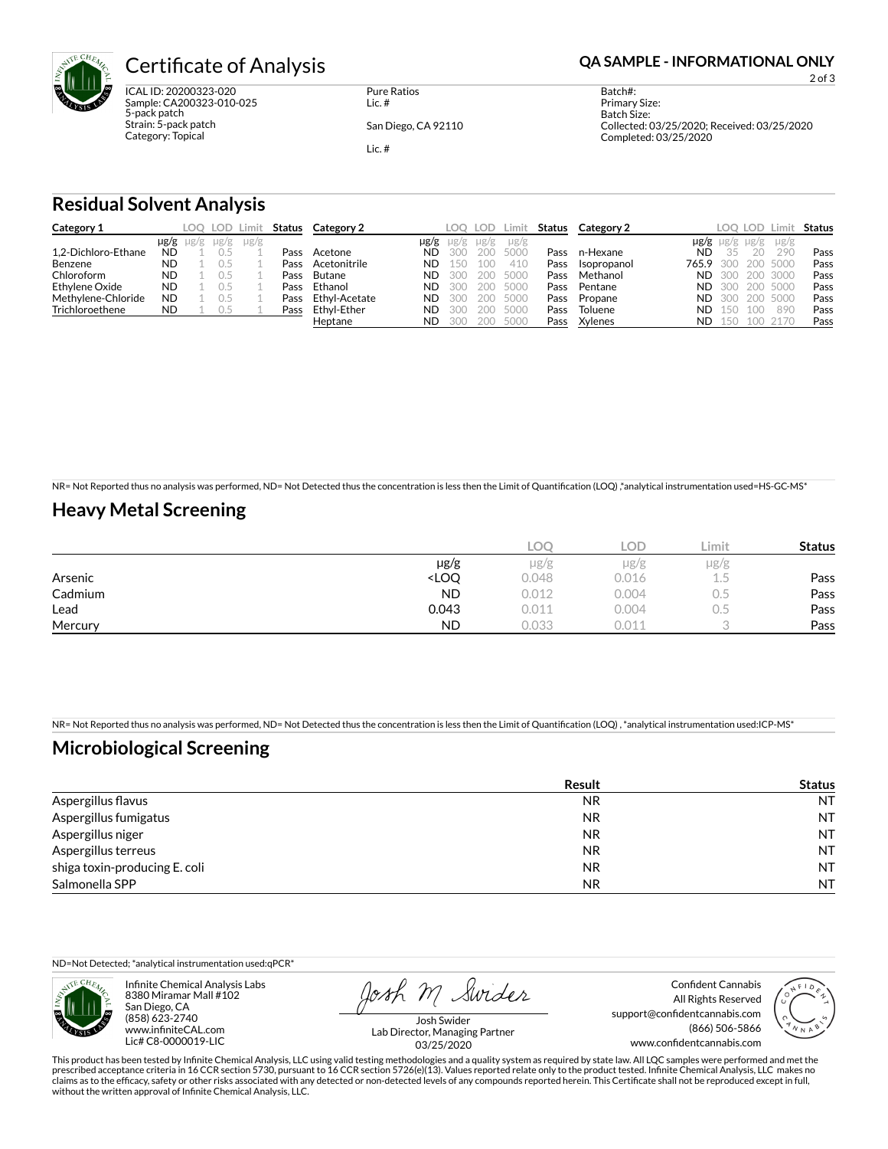

ICAL ID: 20200323-020 Sample: CA200323-010-025 5-pack patch Strain: 5-pack patch Category: Topical

Pure Ratios Lic. #

San Diego, CA 92110

Lic. #

2 of 3

Batch#: Primary Size: Batch Size: Collected: 03/25/2020; Received: 03/25/2020 Completed: 03/25/2020

#### **Residual Solvent Analysis**

| Category 1          |           |                     | LOO LOD Limit |           | Status | Category 2    |            | LOO.        | LOD.        | Limit             | Status | Category 2  |                 |           | LOO LOD.        | ∟imit            | Status |
|---------------------|-----------|---------------------|---------------|-----------|--------|---------------|------------|-------------|-------------|-------------------|--------|-------------|-----------------|-----------|-----------------|------------------|--------|
| 1.2-Dichloro-Ethane | <b>ND</b> | $\mu$ g/g $\mu$ g/g | $\mu$ g/g     | $\mu$ g/g | Pass   | Acetone       | µg/g<br>ND | ug/g<br>300 | ug/g<br>200 | $\mu$ g/g<br>5000 | Pass   | n-Hexane    | $\mu$ g/g<br>ND | $\mu$ g/g | $\mu$ g/g<br>20 | $\mu$ g/g<br>290 | Pass   |
| Benzene             | <b>ND</b> |                     |               |           | Pass   | Acetonitrile  | ND.        | . 50        | 100         | 410               | Pass   | Isopropanol | 765.9           | 300       | 200.            | 5000             | Pass   |
| Chloroform          | <b>ND</b> |                     |               |           | Pass   | Butane        | <b>ND</b>  | 300         | 200         | 5000              | Pass   | Methanol    | ND.             | 300       | 200             | 3000             | Pass   |
| Ethylene Oxide      | <b>ND</b> |                     |               |           | Pass   | Ethanol       | ND         | 300         | 200         | 5000              | Pass   | Pentane     | ND.             | 300       | 200             | 5000             | Pass   |
| Methylene-Chloride  | <b>ND</b> |                     |               |           | Pass   | Ethyl-Acetate | ND         | 300         | 200         | 5000              | Pass   | Propane     | ND.             | 300       | 200             | 5000             | Pass   |
| Trichloroethene     | <b>ND</b> |                     | 0.5           |           | Pass   | Ethyl-Ether   | ND         | 300         | 200         | 5000              | Pass   | Toluene     | ND.             | 150       | 100             | 890              | Pass   |
|                     |           |                     |               |           |        | Heptane       | ND.        | 300         | 200         | 5000              | Pass   | Xylenes     | ND              | 150       |                 | 100 2170         | Pass   |

NR= Not Reported thus no analysis was performed, ND= Not Detected thus the concentration is less then the Limit of Quantification (LOQ),\*analytical instrumentation used=HS-GC-MS\*

### **Heavy Metal Screening**

|         |                                                                          | <b>LOC</b> | LOD       | Limit | <b>Status</b> |
|---------|--------------------------------------------------------------------------|------------|-----------|-------|---------------|
|         | $\mu$ g/g                                                                | $\mu$ g/g  | $\mu$ g/g | µg/g  |               |
| Arsenic | <loq< th=""><th>0.048</th><th>0.016</th><th>ı.5</th><th>Pass</th></loq<> | 0.048      | 0.016     | ı.5   | Pass          |
| Cadmium | <b>ND</b>                                                                | 0.012      | 0.004     | U.5   | Pass          |
| Lead    | 0.043                                                                    | 0.011      | 0.004     | U.5   | Pass          |
| Mercury | <b>ND</b>                                                                | 0.033      | 0.01      |       | Pass          |

NR= Not Reported thus no analysis was performed, ND= Not Detected thus the concentration is less then the Limit of Quantification (LOQ), \*analytical instrumentation used:ICP-MS\*

### **Microbiological Screening**

|                               | Result    | <b>Status</b> |
|-------------------------------|-----------|---------------|
| Aspergillus flavus            | <b>NR</b> | <b>NT</b>     |
| Aspergillus fumigatus         | <b>NR</b> | <b>NT</b>     |
| Aspergillus niger             | NR.       | <b>NT</b>     |
| Aspergillus terreus           | NR.       | <b>NT</b>     |
| shiga toxin-producing E. coli | <b>NR</b> | <b>NT</b>     |
| Salmonella SPP                | <b>NR</b> | <b>NT</b>     |

ND=Not Detected; \*analytical instrumentation used:qPCR\*



Infinite Chemical Analysis Labs 8380 Miramar Mall #102 San Diego, CA (858) 623-2740 www.infiniteCAL.com Lic# C8-0000019-LIC

Josh M Swider

Confident Cannabis All Rights Reserved support@confidentcannabis.com (866) 506-5866 www.confidentcannabis.com



Josh Swider Lab Director, Managing Partner 03/25/2020

This product has been tested by Infinite Chemical Analysis, LLC using valid testing methodologies and a quality system as required by state law. All LQC samples were performed and met the<br>prescribed acceptance criteria in without the written approval of Infinite Chemical Analysis, LLC.